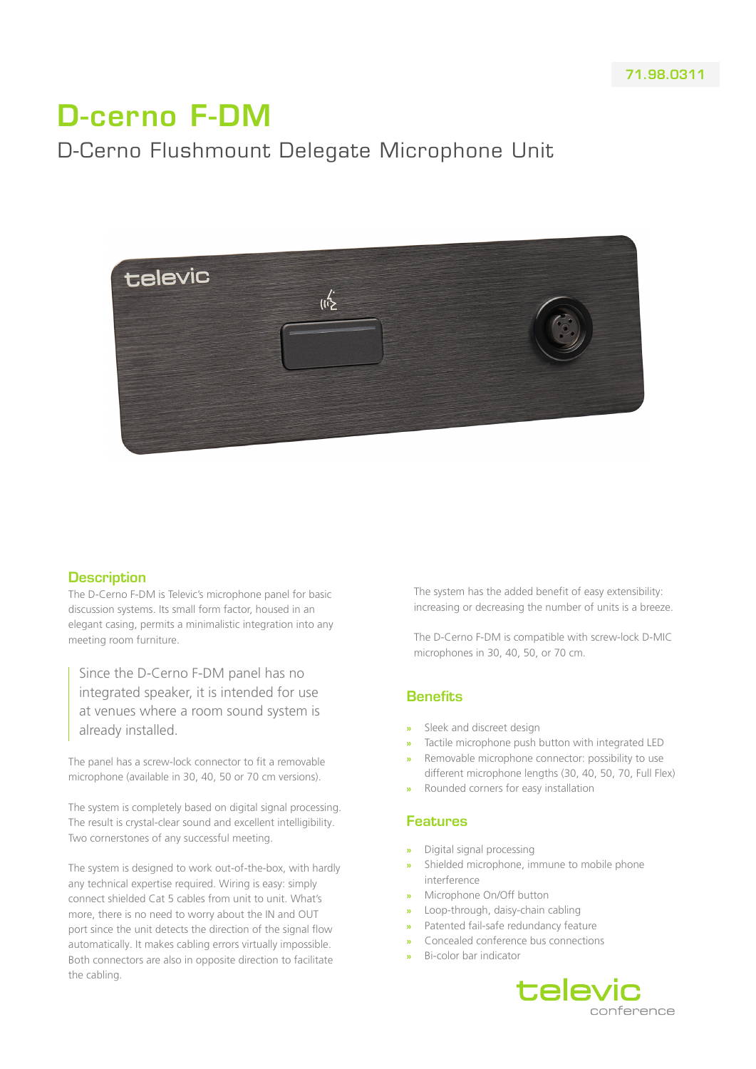# D-cerno F-DM

# D-Cerno Flushmount Delegate Microphone Unit



#### **Description**

The D-Cerno F-DM is Televic's microphone panel for basic discussion systems. Its small form factor, housed in an elegant casing, permits a minimalistic integration into any meeting room furniture.

Since the D-Cerno F-DM panel has no integrated speaker, it is intended for use at venues where a room sound system is already installed.

The panel has a screw-lock connector to fit a removable microphone (available in 30, 40, 50 or 70 cm versions).

The system is completely based on digital signal processing. The result is crystal-clear sound and excellent intelligibility. Two cornerstones of any successful meeting.

The system is designed to work out-of-the-box, with hardly any technical expertise required. Wiring is easy: simply connect shielded Cat 5 cables from unit to unit. What's more, there is no need to worry about the IN and OUT port since the unit detects the direction of the signal flow automatically. It makes cabling errors virtually impossible. Both connectors are also in opposite direction to facilitate the cabling.

The system has the added benefit of easy extensibility: increasing or decreasing the number of units is a breeze.

The D-Cerno F-DM is compatible with screw-lock D-MIC microphones in 30, 40, 50, or 70 cm.

#### **Benefits**

- **»** Sleek and discreet design
- **»** Tactile microphone push button with integrated LED
- **»** Removable microphone connector: possibility to use different microphone lengths (30, 40, 50, 70, Full Flex)
- **»** Rounded corners for easy installation

#### Features

- **»** Digital signal processing
- **»** Shielded microphone, immune to mobile phone interference
- **»** Microphone On/Off button
- **»** Loop-through, daisy-chain cabling
- **»** Patented fail-safe redundancy feature
- **»** Concealed conference bus connections
- **»** Bi-color bar indicator

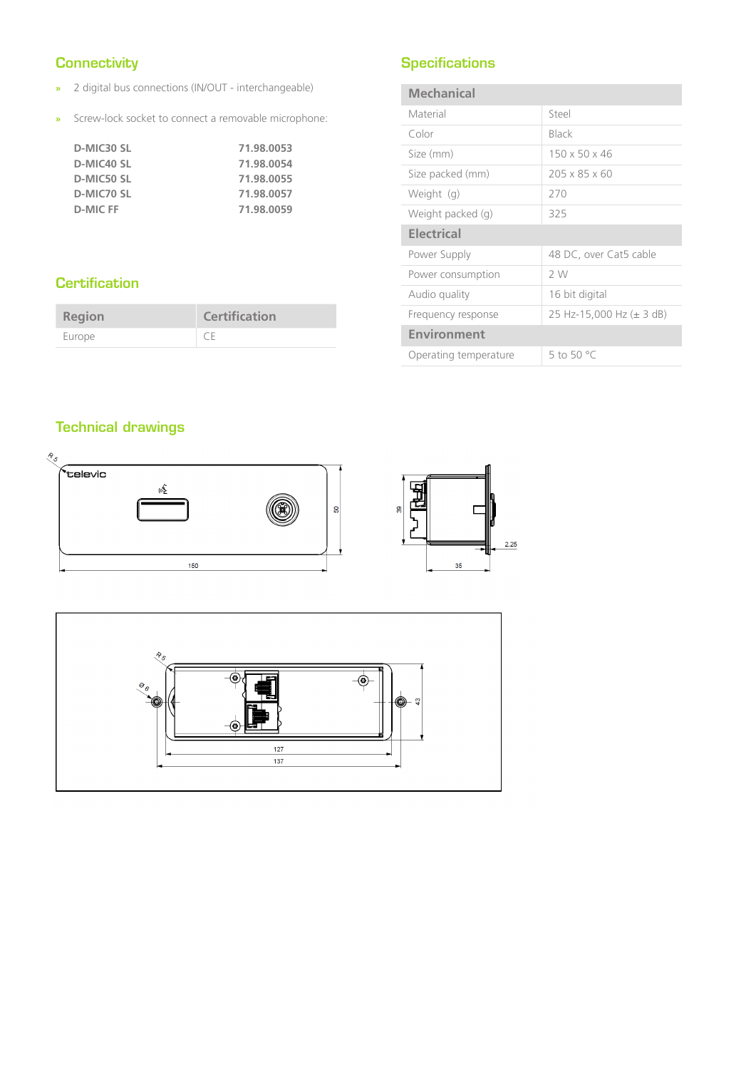## **Connectivity**

- **»** 2 digital bus connections (IN/OUT interchangeable)
- **»** Screw-lock socket to connect a removable microphone:

| D-MIC30 SL | 71.98.0053 |
|------------|------------|
| D-MIC40 SL | 71.98.0054 |
| D-MIC50 SL | 71.98.0055 |
| D-MIC70 SL | 71.98.0057 |
| D-MIC FF   | 71.98.0059 |

## **Specifications**

| <b>Mechanical</b>     |                           |
|-----------------------|---------------------------|
| Material              | Steel                     |
| Color                 | Black                     |
| Size (mm)             | 150 x 50 x 46             |
| Size packed (mm)      | $205 \times 85 \times 60$ |
| Weight (g)            | 270                       |
| Weight packed (g)     | 325                       |
| <b>Electrical</b>     |                           |
| Power Supply          | 48 DC, over Cat5 cable    |
| Power consumption     | 2 W                       |
| Audio quality         | 16 bit digital            |
| Frequency response    | 25 Hz-15,000 Hz (± 3 dB)  |
| <b>Environment</b>    |                           |
| Operating temperature | 5 to 50 $^{\circ}$ C      |

## **Certification**

| <b>Region</b> | <b>Certification</b> |
|---------------|----------------------|
| Europe        | CF                   |

## Technical drawings